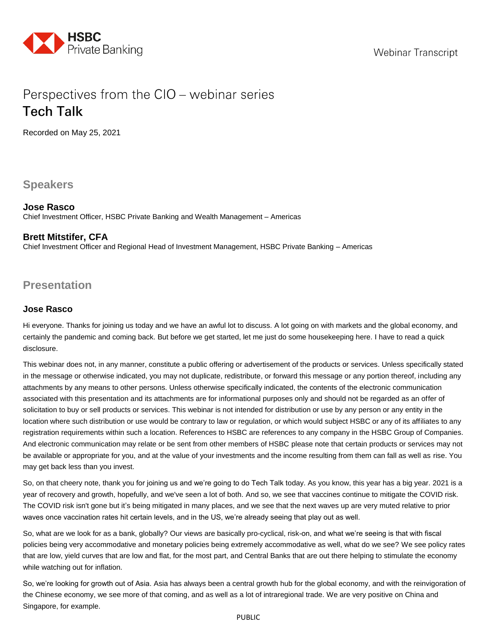

# Perspectives from the CIO – webinar series **Tech Talk**

Recorded on May 25, 2021

**Speakers**

# **Jose Rasco**

Chief Investment Officer, HSBC Private Banking and Wealth Management – Americas

# **Brett Mitstifer, CFA**

Chief Investment Officer and Regional Head of Investment Management, HSBC Private Banking – Americas

# **Presentation**

# **Jose Rasco**

Hi everyone. Thanks for joining us today and we have an awful lot to discuss. A lot going on with markets and the global economy, and certainly the pandemic and coming back. But before we get started, let me just do some housekeeping here. I have to read a quick disclosure.

This webinar does not, in any manner, constitute a public offering or advertisement of the products or services. Unless specifically stated in the message or otherwise indicated, you may not duplicate, redistribute, or forward this message or any portion thereof, including any attachments by any means to other persons. Unless otherwise specifically indicated, the contents of the electronic communication associated with this presentation and its attachments are for informational purposes only and should not be regarded as an offer of solicitation to buy or sell products or services. This webinar is not intended for distribution or use by any person or any entity in the location where such distribution or use would be contrary to law or regulation, or which would subject HSBC or any of its affiliates to any registration requirements within such a location. References to HSBC are references to any company in the HSBC Group of Companies. And electronic communication may relate or be sent from other members of HSBC please note that certain products or services may not be available or appropriate for you, and at the value of your investments and the income resulting from them can fall as well as rise. You may get back less than you invest.

So, on that cheery note, thank you for joining us and we're going to do Tech Talk today. As you know, this year has a big year. 2021 is a year of recovery and growth, hopefully, and we've seen a lot of both. And so, we see that vaccines continue to mitigate the COVID risk. The COVID risk isn't gone but it's being mitigated in many places, and we see that the next waves up are very muted relative to prior waves once vaccination rates hit certain levels, and in the US, we're already seeing that play out as well.

So, what are we look for as a bank, globally? Our views are basically pro-cyclical, risk-on, and what we're seeing is that with fiscal policies being very accommodative and monetary policies being extremely accommodative as well, what do we see? We see policy rates that are low, yield curves that are low and flat, for the most part, and Central Banks that are out there helping to stimulate the economy while watching out for inflation.

So, we're looking for growth out of Asia. Asia has always been a central growth hub for the global economy, and with the reinvigoration of the Chinese economy, we see more of that coming, and as well as a lot of intraregional trade. We are very positive on China and Singapore, for example.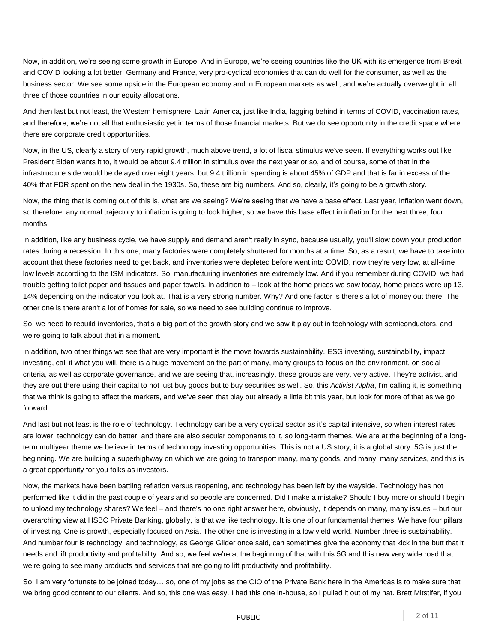Now, in addition, we're seeing some growth in Europe. And in Europe, we're seeing countries like the UK with its emergence from Brexit and COVID looking a lot better. Germany and France, very pro-cyclical economies that can do well for the consumer, as well as the business sector. We see some upside in the European economy and in European markets as well, and we're actually overweight in all three of those countries in our equity allocations.

And then last but not least, the Western hemisphere, Latin America, just like India, lagging behind in terms of COVID, vaccination rates, and therefore, we're not all that enthusiastic yet in terms of those financial markets. But we do see opportunity in the credit space where there are corporate credit opportunities.

Now, in the US, clearly a story of very rapid growth, much above trend, a lot of fiscal stimulus we've seen. If everything works out like President Biden wants it to, it would be about 9.4 trillion in stimulus over the next year or so, and of course, some of that in the infrastructure side would be delayed over eight years, but 9.4 trillion in spending is about 45% of GDP and that is far in excess of the 40% that FDR spent on the new deal in the 1930s. So, these are big numbers. And so, clearly, it's going to be a growth story.

Now, the thing that is coming out of this is, what are we seeing? We're seeing that we have a base effect. Last year, inflation went down, so therefore, any normal trajectory to inflation is going to look higher, so we have this base effect in inflation for the next three, four months.

In addition, like any business cycle, we have supply and demand aren't really in sync, because usually, you'll slow down your production rates during a recession. In this one, many factories were completely shuttered for months at a time. So, as a result, we have to take into account that these factories need to get back, and inventories were depleted before went into COVID, now they're very low, at all-time low levels according to the ISM indicators. So, manufacturing inventories are extremely low. And if you remember during COVID, we had trouble getting toilet paper and tissues and paper towels. In addition to – look at the home prices we saw today, home prices were up 13, 14% depending on the indicator you look at. That is a very strong number. Why? And one factor is there's a lot of money out there. The other one is there aren't a lot of homes for sale, so we need to see building continue to improve.

So, we need to rebuild inventories, that's a big part of the growth story and we saw it play out in technology with semiconductors, and we're going to talk about that in a moment.

In addition, two other things we see that are very important is the move towards sustainability. ESG investing, sustainability, impact investing, call it what you will, there is a huge movement on the part of many, many groups to focus on the environment, on social criteria, as well as corporate governance, and we are seeing that, increasingly, these groups are very, very active. They're activist, and they are out there using their capital to not just buy goods but to buy securities as well. So, this *Activist Alpha*, I'm calling it, is something that we think is going to affect the markets, and we've seen that play out already a little bit this year, but look for more of that as we go forward.

And last but not least is the role of technology. Technology can be a very cyclical sector as it's capital intensive, so when interest rates are lower, technology can do better, and there are also secular components to it, so long-term themes. We are at the beginning of a longterm multiyear theme we believe in terms of technology investing opportunities. This is not a US story, it is a global story. 5G is just the beginning. We are building a superhighway on which we are going to transport many, many goods, and many, many services, and this is a great opportunity for you folks as investors.

Now, the markets have been battling reflation versus reopening, and technology has been left by the wayside. Technology has not performed like it did in the past couple of years and so people are concerned. Did I make a mistake? Should I buy more or should I begin to unload my technology shares? We feel – and there's no one right answer here, obviously, it depends on many, many issues – but our overarching view at HSBC Private Banking, globally, is that we like technology. It is one of our fundamental themes. We have four pillars of investing. One is growth, especially focused on Asia. The other one is investing in a low yield world. Number three is sustainability. And number four is technology, and technology, as George Gilder once said, can sometimes give the economy that kick in the butt that it needs and lift productivity and profitability. And so, we feel we're at the beginning of that with this 5G and this new very wide road that we're going to see many products and services that are going to lift productivity and profitability.

So, I am very fortunate to be joined today… so, one of my jobs as the CIO of the Private Bank here in the Americas is to make sure that we bring good content to our clients. And so, this one was easy. I had this one in-house, so I pulled it out of my hat. Brett Mitstifer, if you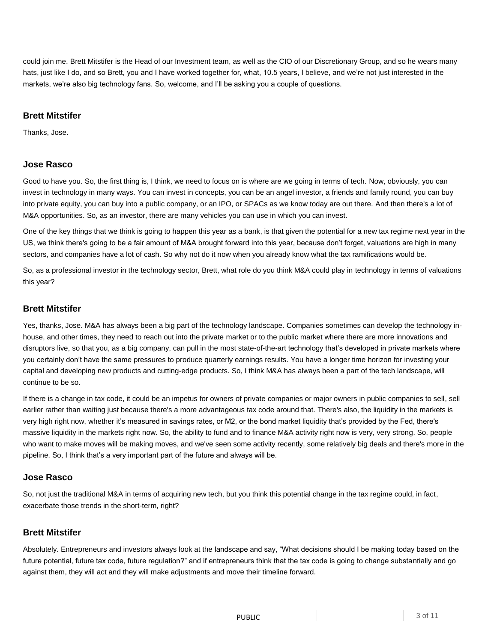could join me. Brett Mitstifer is the Head of our Investment team, as well as the CIO of our Discretionary Group, and so he wears many hats, just like I do, and so Brett, you and I have worked together for, what, 10.5 years, I believe, and we're not just interested in the markets, we're also big technology fans. So, welcome, and I'll be asking you a couple of questions.

# **Brett Mitstifer**

Thanks, Jose.

# **Jose Rasco**

Good to have you. So, the first thing is, I think, we need to focus on is where are we going in terms of tech. Now, obviously, you can invest in technology in many ways. You can invest in concepts, you can be an angel investor, a friends and family round, you can buy into private equity, you can buy into a public company, or an IPO, or SPACs as we know today are out there. And then there's a lot of M&A opportunities. So, as an investor, there are many vehicles you can use in which you can invest.

One of the key things that we think is going to happen this year as a bank, is that given the potential for a new tax regime next year in the US, we think there's going to be a fair amount of M&A brought forward into this year, because don't forget, valuations are high in many sectors, and companies have a lot of cash. So why not do it now when you already know what the tax ramifications would be.

So, as a professional investor in the technology sector, Brett, what role do you think M&A could play in technology in terms of valuations this year?

#### **Brett Mitstifer**

Yes, thanks, Jose. M&A has always been a big part of the technology landscape. Companies sometimes can develop the technology inhouse, and other times, they need to reach out into the private market or to the public market where there are more innovations and disruptors live, so that you, as a big company, can pull in the most state-of-the-art technology that's developed in private markets where you certainly don't have the same pressures to produce quarterly earnings results. You have a longer time horizon for investing your capital and developing new products and cutting-edge products. So, I think M&A has always been a part of the tech landscape, will continue to be so.

If there is a change in tax code, it could be an impetus for owners of private companies or major owners in public companies to sell, sell earlier rather than waiting just because there's a more advantageous tax code around that. There's also, the liquidity in the markets is very high right now, whether it's measured in savings rates, or M2, or the bond market liquidity that's provided by the Fed, there's massive liquidity in the markets right now. So, the ability to fund and to finance M&A activity right now is very, very strong. So, people who want to make moves will be making moves, and we've seen some activity recently, some relatively big deals and there's more in the pipeline. So, I think that's a very important part of the future and always will be.

#### **Jose Rasco**

So, not just the traditional M&A in terms of acquiring new tech, but you think this potential change in the tax regime could, in fact, exacerbate those trends in the short-term, right?

# **Brett Mitstifer**

Absolutely. Entrepreneurs and investors always look at the landscape and say, "What decisions should I be making today based on the future potential, future tax code, future regulation?" and if entrepreneurs think that the tax code is going to change substantially and go against them, they will act and they will make adjustments and move their timeline forward.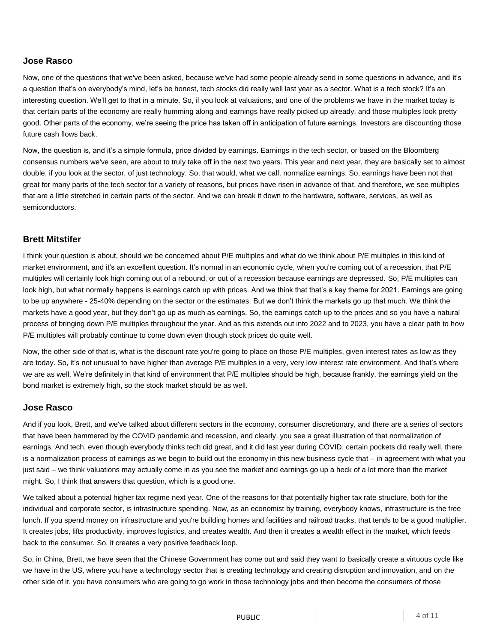Now, one of the questions that we've been asked, because we've had some people already send in some questions in advance, and it's a question that's on everybody's mind, let's be honest, tech stocks did really well last year as a sector. What is a tech stock? It's an interesting question. We'll get to that in a minute. So, if you look at valuations, and one of the problems we have in the market today is that certain parts of the economy are really humming along and earnings have really picked up already, and those multiples look pretty good. Other parts of the economy, we're seeing the price has taken off in anticipation of future earnings. Investors are discounting those future cash flows back.

Now, the question is, and it's a simple formula, price divided by earnings. Earnings in the tech sector, or based on the Bloomberg consensus numbers we've seen, are about to truly take off in the next two years. This year and next year, they are basically set to almost double, if you look at the sector, of just technology. So, that would, what we call, normalize earnings. So, earnings have been not that great for many parts of the tech sector for a variety of reasons, but prices have risen in advance of that, and therefore, we see multiples that are a little stretched in certain parts of the sector. And we can break it down to the hardware, software, services, as well as semiconductors.

# **Brett Mitstifer**

I think your question is about, should we be concerned about P/E multiples and what do we think about P/E multiples in this kind of market environment, and it's an excellent question. It's normal in an economic cycle, when you're coming out of a recession, that P/E multiples will certainly look high coming out of a rebound, or out of a recession because earnings are depressed. So, P/E multiples can look high, but what normally happens is earnings catch up with prices. And we think that that's a key theme for 2021. Earnings are going to be up anywhere - 25-40% depending on the sector or the estimates. But we don't think the markets go up that much. We think the markets have a good year, but they don't go up as much as earnings. So, the earnings catch up to the prices and so you have a natural process of bringing down P/E multiples throughout the year. And as this extends out into 2022 and to 2023, you have a clear path to how P/E multiples will probably continue to come down even though stock prices do quite well.

Now, the other side of that is, what is the discount rate you're going to place on those P/E multiples, given interest rates as low as they are today. So, it's not unusual to have higher than average P/E multiples in a very, very low interest rate environment. And that's where we are as well. We're definitely in that kind of environment that P/E multiples should be high, because frankly, the earnings yield on the bond market is extremely high, so the stock market should be as well.

#### **Jose Rasco**

And if you look, Brett, and we've talked about different sectors in the economy, consumer discretionary, and there are a series of sectors that have been hammered by the COVID pandemic and recession, and clearly, you see a great illustration of that normalization of earnings. And tech, even though everybody thinks tech did great, and it did last year during COVID, certain pockets did really well, there is a normalization process of earnings as we begin to build out the economy in this new business cycle that – in agreement with what you just said – we think valuations may actually come in as you see the market and earnings go up a heck of a lot more than the market might. So, I think that answers that question, which is a good one.

We talked about a potential higher tax regime next year. One of the reasons for that potentially higher tax rate structure, both for the individual and corporate sector, is infrastructure spending. Now, as an economist by training, everybody knows, infrastructure is the free lunch. If you spend money on infrastructure and you're building homes and facilities and railroad tracks, that tends to be a good multiplier. It creates jobs, lifts productivity, improves logistics, and creates wealth. And then it creates a wealth effect in the market, which feeds back to the consumer. So, it creates a very positive feedback loop.

So, in China, Brett, we have seen that the Chinese Government has come out and said they want to basically create a virtuous cycle like we have in the US, where you have a technology sector that is creating technology and creating disruption and innovation, and on the other side of it, you have consumers who are going to go work in those technology jobs and then become the consumers of those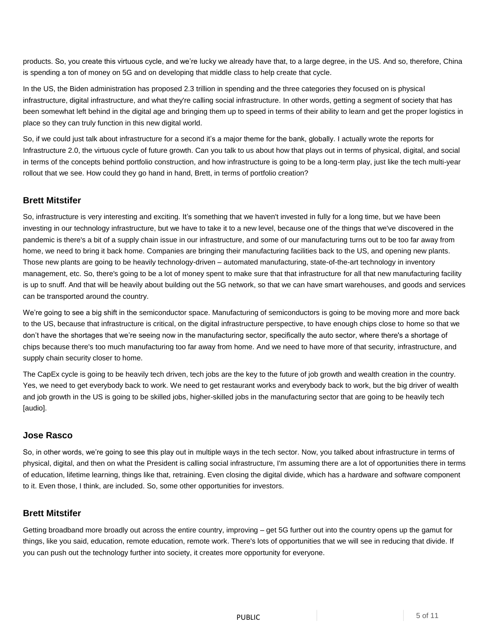products. So, you create this virtuous cycle, and we're lucky we already have that, to a large degree, in the US. And so, therefore, China is spending a ton of money on 5G and on developing that middle class to help create that cycle.

In the US, the Biden administration has proposed 2.3 trillion in spending and the three categories they focused on is physical infrastructure, digital infrastructure, and what they're calling social infrastructure. In other words, getting a segment of society that has been somewhat left behind in the digital age and bringing them up to speed in terms of their ability to learn and get the proper logistics in place so they can truly function in this new digital world.

So, if we could just talk about infrastructure for a second it's a major theme for the bank, globally. I actually wrote the reports for Infrastructure 2.0, the virtuous cycle of future growth. Can you talk to us about how that plays out in terms of physical, digital, and social in terms of the concepts behind portfolio construction, and how infrastructure is going to be a long-term play, just like the tech multi-year rollout that we see. How could they go hand in hand, Brett, in terms of portfolio creation?

# **Brett Mitstifer**

So, infrastructure is very interesting and exciting. It's something that we haven't invested in fully for a long time, but we have been investing in our technology infrastructure, but we have to take it to a new level, because one of the things that we've discovered in the pandemic is there's a bit of a supply chain issue in our infrastructure, and some of our manufacturing turns out to be too far away from home, we need to bring it back home. Companies are bringing their manufacturing facilities back to the US, and opening new plants. Those new plants are going to be heavily technology-driven – automated manufacturing, state-of-the-art technology in inventory management, etc. So, there's going to be a lot of money spent to make sure that that infrastructure for all that new manufacturing facility is up to snuff. And that will be heavily about building out the 5G network, so that we can have smart warehouses, and goods and services can be transported around the country.

We're going to see a big shift in the semiconductor space. Manufacturing of semiconductors is going to be moving more and more back to the US, because that infrastructure is critical, on the digital infrastructure perspective, to have enough chips close to home so that we don't have the shortages that we're seeing now in the manufacturing sector, specifically the auto sector, where there's a shortage of chips because there's too much manufacturing too far away from home. And we need to have more of that security, infrastructure, and supply chain security closer to home.

The CapEx cycle is going to be heavily tech driven, tech jobs are the key to the future of job growth and wealth creation in the country. Yes, we need to get everybody back to work. We need to get restaurant works and everybody back to work, but the big driver of wealth and job growth in the US is going to be skilled jobs, higher-skilled jobs in the manufacturing sector that are going to be heavily tech [audio].

# **Jose Rasco**

So, in other words, we're going to see this play out in multiple ways in the tech sector. Now, you talked about infrastructure in terms of physical, digital, and then on what the President is calling social infrastructure, I'm assuming there are a lot of opportunities there in terms of education, lifetime learning, things like that, retraining. Even closing the digital divide, which has a hardware and software component to it. Even those, I think, are included. So, some other opportunities for investors.

# **Brett Mitstifer**

Getting broadband more broadly out across the entire country, improving – get 5G further out into the country opens up the gamut for things, like you said, education, remote education, remote work. There's lots of opportunities that we will see in reducing that divide. If you can push out the technology further into society, it creates more opportunity for everyone.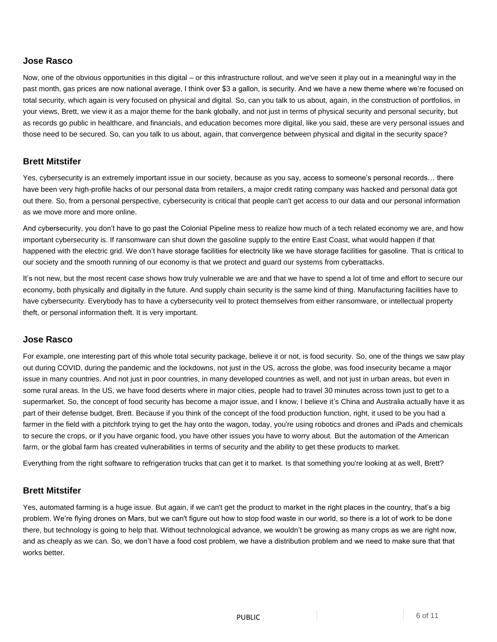Now, one of the obvious opportunities in this digital – or this infrastructure rollout, and we've seen it play out in a meaningful way in the past month, gas prices are now national average, I think over \$3 a gallon, is security. And we have a new theme where we're focused on total security, which again is very focused on physical and digital. So, can you talk to us about, again, in the construction of portfolios, in your views, Brett, we view it as a major theme for the bank globally, and not just in terms of physical security and personal security, but as records go public in healthcare, and financials, and education becomes more digital, like you said, these are very personal issues and those need to be secured. So, can you talk to us about, again, that convergence between physical and digital in the security space?

# **Brett Mitstifer**

Yes, cybersecurity is an extremely important issue in our society, because as you say, access to someone's personal records… there have been very high-profile hacks of our personal data from retailers, a major credit rating company was hacked and personal data got out there. So, from a personal perspective, cybersecurity is critical that people can't get access to our data and our personal information as we move more and more online.

And cybersecurity, you don't have to go past the Colonial Pipeline mess to realize how much of a tech related economy we are, and how important cybersecurity is. If ransomware can shut down the gasoline supply to the entire East Coast, what would happen if that happened with the electric grid. We don't have storage facilities for electricity like we have storage facilities for gasoline. That is critical to our society and the smooth running of our economy is that we protect and guard our systems from cyberattacks.

It's not new, but the most recent case shows how truly vulnerable we are and that we have to spend a lot of time and effort to secure our economy, both physically and digitally in the future. And supply chain security is the same kind of thing. Manufacturing facilities have to have cybersecurity. Everybody has to have a cybersecurity veil to protect themselves from either ransomware, or intellectual property theft, or personal information theft. It is very important.

#### **Jose Rasco**

For example, one interesting part of this whole total security package, believe it or not, is food security. So, one of the things we saw play out during COVID, during the pandemic and the lockdowns, not just in the US, across the globe, was food insecurity became a major issue in many countries. And not just in poor countries, in many developed countries as well, and not just in urban areas, but even in some rural areas. In the US, we have food deserts where in major cities, people had to travel 30 minutes across town just to get to a supermarket. So, the concept of food security has become a major issue, and I know, I believe it's China and Australia actually have it as part of their defense budget, Brett. Because if you think of the concept of the food production function, right, it used to be you had a farmer in the field with a pitchfork trying to get the hay onto the wagon, today, you're using robotics and drones and iPads and chemicals to secure the crops, or if you have organic food, you have other issues you have to worry about. But the automation of the American farm, or the global farm has created vulnerabilities in terms of security and the ability to get these products to market.

Everything from the right software to refrigeration trucks that can get it to market. Is that something you're looking at as well, Brett?

#### **Brett Mitstifer**

Yes, automated farming is a huge issue. But again, if we can't get the product to market in the right places in the country, that's a big problem. We're flying drones on Mars, but we can't figure out how to stop food waste in our world, so there is a lot of work to be done there, but technology is going to help that. Without technological advance, we wouldn't be growing as many crops as we are right now, and as cheaply as we can. So, we don't have a food cost problem, we have a distribution problem and we need to make sure that that works better.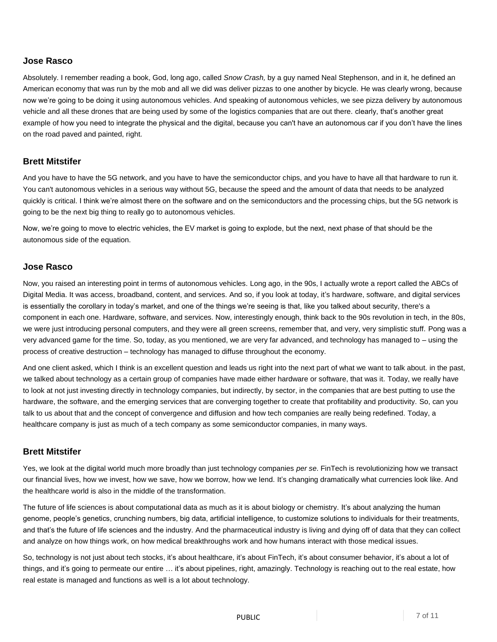Absolutely. I remember reading a book, God, long ago, called *Snow Crash,* by a guy named Neal Stephenson, and in it, he defined an American economy that was run by the mob and all we did was deliver pizzas to one another by bicycle. He was clearly wrong, because now we're going to be doing it using autonomous vehicles. And speaking of autonomous vehicles, we see pizza delivery by autonomous vehicle and all these drones that are being used by some of the logistics companies that are out there. clearly, that's another great example of how you need to integrate the physical and the digital, because you can't have an autonomous car if you don't have the lines on the road paved and painted, right.

# **Brett Mitstifer**

And you have to have the 5G network, and you have to have the semiconductor chips, and you have to have all that hardware to run it. You can't autonomous vehicles in a serious way without 5G, because the speed and the amount of data that needs to be analyzed quickly is critical. I think we're almost there on the software and on the semiconductors and the processing chips, but the 5G network is going to be the next big thing to really go to autonomous vehicles.

Now, we're going to move to electric vehicles, the EV market is going to explode, but the next, next phase of that should be the autonomous side of the equation.

# **Jose Rasco**

Now, you raised an interesting point in terms of autonomous vehicles. Long ago, in the 90s, I actually wrote a report called the ABCs of Digital Media. It was access, broadband, content, and services. And so, if you look at today, it's hardware, software, and digital services is essentially the corollary in today's market, and one of the things we're seeing is that, like you talked about security, there's a component in each one. Hardware, software, and services. Now, interestingly enough, think back to the 90s revolution in tech, in the 80s, we were just introducing personal computers, and they were all green screens, remember that, and very, very simplistic stuff. Pong was a very advanced game for the time. So, today, as you mentioned, we are very far advanced, and technology has managed to – using the process of creative destruction – technology has managed to diffuse throughout the economy.

And one client asked, which I think is an excellent question and leads us right into the next part of what we want to talk about. in the past, we talked about technology as a certain group of companies have made either hardware or software, that was it. Today, we really have to look at not just investing directly in technology companies, but indirectly, by sector, in the companies that are best putting to use the hardware, the software, and the emerging services that are converging together to create that profitability and productivity. So, can you talk to us about that and the concept of convergence and diffusion and how tech companies are really being redefined. Today, a healthcare company is just as much of a tech company as some semiconductor companies, in many ways.

#### **Brett Mitstifer**

Yes, we look at the digital world much more broadly than just technology companies *per se*. FinTech is revolutionizing how we transact our financial lives, how we invest, how we save, how we borrow, how we lend. It's changing dramatically what currencies look like. And the healthcare world is also in the middle of the transformation.

The future of life sciences is about computational data as much as it is about biology or chemistry. It's about analyzing the human genome, people's genetics, crunching numbers, big data, artificial intelligence, to customize solutions to individuals for their treatments, and that's the future of life sciences and the industry. And the pharmaceutical industry is living and dying off of data that they can collect and analyze on how things work, on how medical breakthroughs work and how humans interact with those medical issues.

So, technology is not just about tech stocks, it's about healthcare, it's about FinTech, it's about consumer behavior, it's about a lot of things, and it's going to permeate our entire … it's about pipelines, right, amazingly. Technology is reaching out to the real estate, how real estate is managed and functions as well is a lot about technology.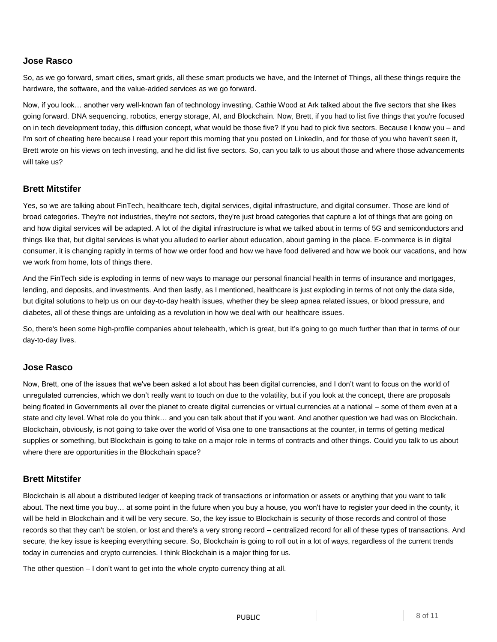So, as we go forward, smart cities, smart grids, all these smart products we have, and the Internet of Things, all these things require the hardware, the software, and the value-added services as we go forward.

Now, if you look… another very well-known fan of technology investing, Cathie Wood at Ark talked about the five sectors that she likes going forward. DNA sequencing, robotics, energy storage, AI, and Blockchain. Now, Brett, if you had to list five things that you're focused on in tech development today, this diffusion concept, what would be those five? If you had to pick five sectors. Because I know you – and I'm sort of cheating here because I read your report this morning that you posted on LinkedIn, and for those of you who haven't seen it, Brett wrote on his views on tech investing, and he did list five sectors. So, can you talk to us about those and where those advancements will take us?

# **Brett Mitstifer**

Yes, so we are talking about FinTech, healthcare tech, digital services, digital infrastructure, and digital consumer. Those are kind of broad categories. They're not industries, they're not sectors, they're just broad categories that capture a lot of things that are going on and how digital services will be adapted. A lot of the digital infrastructure is what we talked about in terms of 5G and semiconductors and things like that, but digital services is what you alluded to earlier about education, about gaming in the place. E-commerce is in digital consumer, it is changing rapidly in terms of how we order food and how we have food delivered and how we book our vacations, and how we work from home, lots of things there.

And the FinTech side is exploding in terms of new ways to manage our personal financial health in terms of insurance and mortgages, lending, and deposits, and investments. And then lastly, as I mentioned, healthcare is just exploding in terms of not only the data side, but digital solutions to help us on our day-to-day health issues, whether they be sleep apnea related issues, or blood pressure, and diabetes, all of these things are unfolding as a revolution in how we deal with our healthcare issues.

So, there's been some high-profile companies about telehealth, which is great, but it's going to go much further than that in terms of our day-to-day lives.

# **Jose Rasco**

Now, Brett, one of the issues that we've been asked a lot about has been digital currencies, and I don't want to focus on the world of unregulated currencies, which we don't really want to touch on due to the volatility, but if you look at the concept, there are proposals being floated in Governments all over the planet to create digital currencies or virtual currencies at a national – some of them even at a state and city level. What role do you think… and you can talk about that if you want. And another question we had was on Blockchain. Blockchain, obviously, is not going to take over the world of Visa one to one transactions at the counter, in terms of getting medical supplies or something, but Blockchain is going to take on a major role in terms of contracts and other things. Could you talk to us about where there are opportunities in the Blockchain space?

#### **Brett Mitstifer**

Blockchain is all about a distributed ledger of keeping track of transactions or information or assets or anything that you want to talk about. The next time you buy… at some point in the future when you buy a house, you won't have to register your deed in the county, it will be held in Blockchain and it will be very secure. So, the key issue to Blockchain is security of those records and control of those records so that they can't be stolen, or lost and there's a very strong record – centralized record for all of these types of transactions. And secure, the key issue is keeping everything secure. So, Blockchain is going to roll out in a lot of ways, regardless of the current trends today in currencies and crypto currencies. I think Blockchain is a major thing for us.

The other question – I don't want to get into the whole crypto currency thing at all.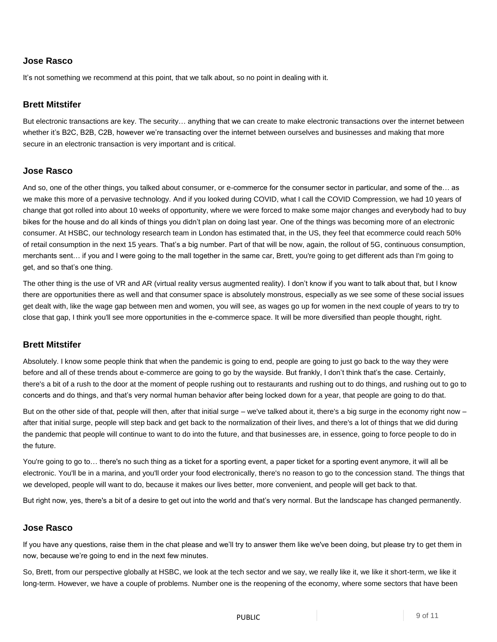It's not something we recommend at this point, that we talk about, so no point in dealing with it.

# **Brett Mitstifer**

But electronic transactions are key. The security… anything that we can create to make electronic transactions over the internet between whether it's B2C, B2B, C2B, however we're transacting over the internet between ourselves and businesses and making that more secure in an electronic transaction is very important and is critical.

#### **Jose Rasco**

And so, one of the other things, you talked about consumer, or e-commerce for the consumer sector in particular, and some of the… as we make this more of a pervasive technology. And if you looked during COVID, what I call the COVID Compression, we had 10 years of change that got rolled into about 10 weeks of opportunity, where we were forced to make some major changes and everybody had to buy bikes for the house and do all kinds of things you didn't plan on doing last year. One of the things was becoming more of an electronic consumer. At HSBC, our technology research team in London has estimated that, in the US, they feel that ecommerce could reach 50% of retail consumption in the next 15 years. That's a big number. Part of that will be now, again, the rollout of 5G, continuous consumption, merchants sent… if you and I were going to the mall together in the same car, Brett, you're going to get different ads than I'm going to get, and so that's one thing.

The other thing is the use of VR and AR (virtual reality versus augmented reality). I don't know if you want to talk about that, but I know there are opportunities there as well and that consumer space is absolutely monstrous, especially as we see some of these social issues get dealt with, like the wage gap between men and women, you will see, as wages go up for women in the next couple of years to try to close that gap, I think you'll see more opportunities in the e-commerce space. It will be more diversified than people thought, right.

#### **Brett Mitstifer**

Absolutely. I know some people think that when the pandemic is going to end, people are going to just go back to the way they were before and all of these trends about e-commerce are going to go by the wayside. But frankly, I don't think that's the case. Certainly, there's a bit of a rush to the door at the moment of people rushing out to restaurants and rushing out to do things, and rushing out to go to concerts and do things, and that's very normal human behavior after being locked down for a year, that people are going to do that.

But on the other side of that, people will then, after that initial surge – we've talked about it, there's a big surge in the economy right now – after that initial surge, people will step back and get back to the normalization of their lives, and there's a lot of things that we did during the pandemic that people will continue to want to do into the future, and that businesses are, in essence, going to force people to do in the future.

You're going to go to… there's no such thing as a ticket for a sporting event, a paper ticket for a sporting event anymore, it will all be electronic. You'll be in a marina, and you'll order your food electronically, there's no reason to go to the concession stand. The things that we developed, people will want to do, because it makes our lives better, more convenient, and people will get back to that.

But right now, yes, there's a bit of a desire to get out into the world and that's very normal. But the landscape has changed permanently.

# **Jose Rasco**

If you have any questions, raise them in the chat please and we'll try to answer them like we've been doing, but please try to get them in now, because we're going to end in the next few minutes.

So, Brett, from our perspective globally at HSBC, we look at the tech sector and we say, we really like it, we like it short-term, we like it long-term. However, we have a couple of problems. Number one is the reopening of the economy, where some sectors that have been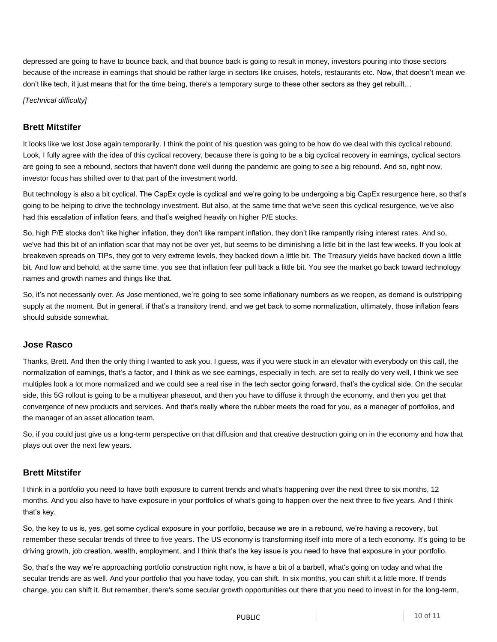depressed are going to have to bounce back, and that bounce back is going to result in money, investors pouring into those sectors because of the increase in earnings that should be rather large in sectors like cruises, hotels, restaurants etc. Now, that doesn't mean we don't like tech, it just means that for the time being, there's a temporary surge to these other sectors as they get rebuilt…

*[Technical difficulty]*

# **Brett Mitstifer**

It looks like we lost Jose again temporarily. I think the point of his question was going to be how do we deal with this cyclical rebound. Look, I fully agree with the idea of this cyclical recovery, because there is going to be a big cyclical recovery in earnings, cyclical sectors are going to see a rebound, sectors that haven't done well during the pandemic are going to see a big rebound. And so, right now, investor focus has shifted over to that part of the investment world.

But technology is also a bit cyclical. The CapEx cycle is cyclical and we're going to be undergoing a big CapEx resurgence here, so that's going to be helping to drive the technology investment. But also, at the same time that we've seen this cyclical resurgence, we've also had this escalation of inflation fears, and that's weighed heavily on higher P/E stocks.

So, high P/E stocks don't like higher inflation, they don't like rampant inflation, they don't like rampantly rising interest rates. And so, we've had this bit of an inflation scar that may not be over yet, but seems to be diminishing a little bit in the last few weeks. If you look at breakeven spreads on TIPs, they got to very extreme levels, they backed down a little bit. The Treasury yields have backed down a little bit. And low and behold, at the same time, you see that inflation fear pull back a little bit. You see the market go back toward technology names and growth names and things like that.

So, it's not necessarily over. As Jose mentioned, we're going to see some inflationary numbers as we reopen, as demand is outstripping supply at the moment. But in general, if that's a transitory trend, and we get back to some normalization, ultimately, those inflation fears should subside somewhat.

#### **Jose Rasco**

Thanks, Brett. And then the only thing I wanted to ask you, I guess, was if you were stuck in an elevator with everybody on this call, the normalization of earnings, that's a factor, and I think as we see earnings, especially in tech, are set to really do very well, I think we see multiples look a lot more normalized and we could see a real rise in the tech sector going forward, that's the cyclical side. On the secular side, this 5G rollout is going to be a multiyear phaseout, and then you have to diffuse it through the economy, and then you get that convergence of new products and services. And that's really where the rubber meets the road for you, as a manager of portfolios, and the manager of an asset allocation team.

So, if you could just give us a long-term perspective on that diffusion and that creative destruction going on in the economy and how that plays out over the next few years.

# **Brett Mitstifer**

I think in a portfolio you need to have both exposure to current trends and what's happening over the next three to six months, 12 months. And you also have to have exposure in your portfolios of what's going to happen over the next three to five years. And I think that's key.

So, the key to us is, yes, get some cyclical exposure in your portfolio, because we are in a rebound, we're having a recovery, but remember these secular trends of three to five years. The US economy is transforming itself into more of a tech economy. It's going to be driving growth, job creation, wealth, employment, and I think that's the key issue is you need to have that exposure in your portfolio.

So, that's the way we're approaching portfolio construction right now, is have a bit of a barbell, what's going on today and what the secular trends are as well. And your portfolio that you have today, you can shift. In six months, you can shift it a little more. If trends change, you can shift it. But remember, there's some secular growth opportunities out there that you need to invest in for the long-term,